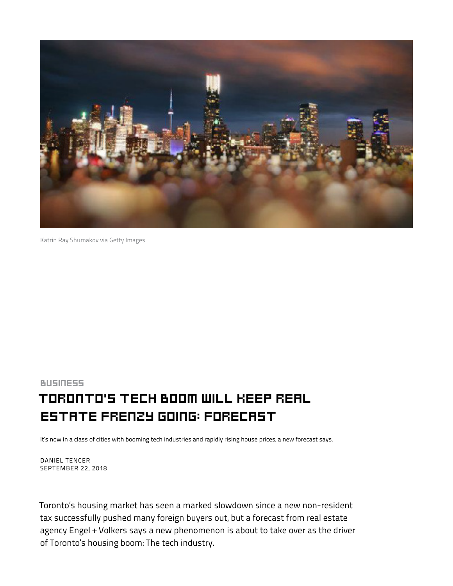

Katrin Ray Shumakov via Getty Images

## business

## Toronto's Tech Boom Will Keep Real Estate Frenzy Going: Forecast

It's now in a class of cities with booming tech industries and rapidly rising house prices, a new forecast says.

DANIEL TENCER SEPTEMBER 22, 2018

Toronto's housing market has seen a marked slowdown since a new non-resident tax successfully pushed many foreign buyers out, but a forecast from real estate agency Engel + Volkers says a new phenomenon is about to take over as the driver of Toronto's housing boom: The tech industry.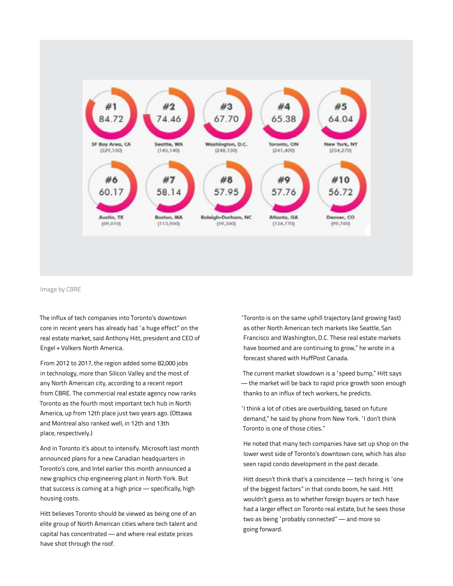

Image by CBRE

The influx of tech companies into Toronto's downtown core in recent years has already had "a huge effect" on the real estate market, said Anthony Hitt, president and CEO of **Francisco and Washington, D.C. These** real Engel + Volkers North America. soon and the product of the prediction workers of the predicts.

From 2012 to 2017, the region added some 82,000 jobs in technology, more than Silicon Valley and the most of any North American city, according to a recent report **has also condo the past definitive** the market will be back to rapid price ground that the past of the market will be back to rapid price ground that  $\frac{1}{2}$ from CBRE. The commercial real estate agency now ranks **thanks** Toronto as the fourth most important tech hub in North America, up from 12th place just two years ago. (Ottawa she so so she connected those so she<br>demand " be s and Montreal also ranked well, in 12th and 13th place, respectively.)  $\mathsf{P}_\mathsf{A}(\mathsf{V},\mathsf{A})$ 

And in Toronto it's about to intensify. Microsoft last month announced plans for a new Canadian headquarters in Toronto's core, and Intel earlier this month announced a **communisty communisty** new graphics chip engineering plant in North York. But that success is coming at a high price — specifically, high housing costs.

Hitt believes Toronto should be viewed as being one of an elite group of North American cities where tech talent and capital has concentrated — and where real estate prices have shot through the roof.

"Toronto is on the same uphill trajectory (and growing fast) as other North American tech markets like Seattle, San Francisco and Washington, D.C. These real estate markets have boomed and are continuing to grow," he wrote in a i think a lot of cities are overbuilding, based on future demand, by phone forecast shared with HuffPost Canada. San Francisco and Washington, D.C. These real estate markets have boomed and are continuing to grow," he

The current market slowdown is a "speed bump," Hitt says ican city, according to a recent report **have a shop on the market will be back** to rapid price growth soon enough thanks to an influx of tech workers, he predicts.

I think a lot of cities are overbuilding, based on future  $\frac{1}{2}$  think a lot of cities are overbuilding, based on future demand," he said by phone from New York. "I don't think Toronto is one of those cities."

from yesternay is from yesternay is from the more of the noted that many tech companies have set up shop on the<br>from yesternay is from the United States, when the United States, is from the United States, in the United Sta lower west side of Toronto's downtown core, which has also s for a new canadian neadquarters in the past decade.<br>His forecast is that his forecast is that his forecast is seen rapid condo development in the past decade.

> Hitt doesn't think that's a coincidence — tech hiring is "one of the biggest factors" in that condo boom, he said. Hitt wouldn't guess as to whether foreign buyers or tech have had a larger effect on Toronto real estate, but he sees those two as being "probably connected" — and more so going forward.